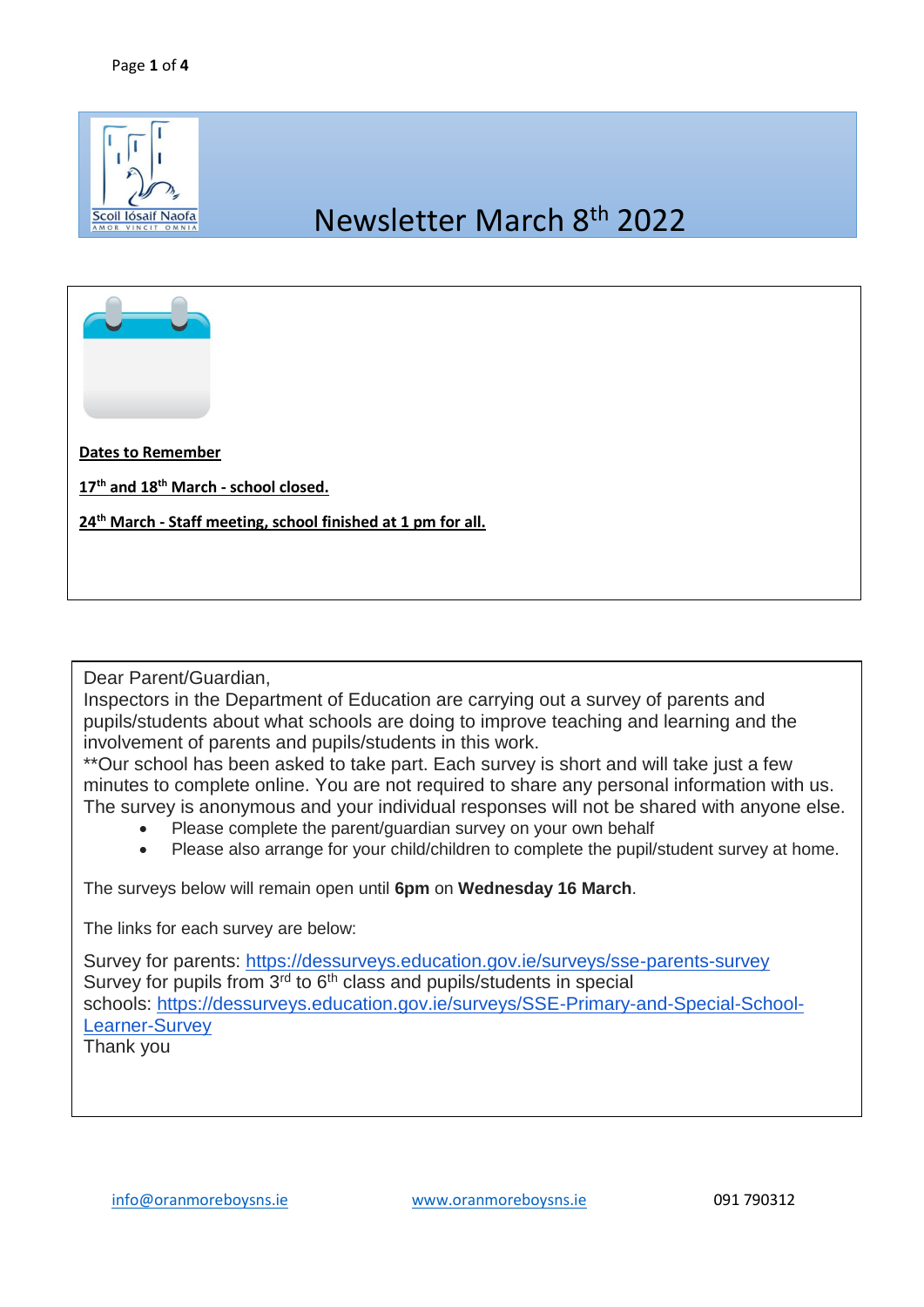

## Newsletter March 8th 2022



**Dates to Remember**

**17th and 18th March - school closed.** 

**24th March - Staff meeting, school finished at 1 pm for all.** 

Dear Parent/Guardian,

Inspectors in the Department of Education are carrying out a survey of parents and pupils/students about what schools are doing to improve teaching and learning and the involvement of parents and pupils/students in this work.

\*\*Our school has been asked to take part. Each survey is short and will take just a few minutes to complete online. You are not required to share any personal information with us. The survey is anonymous and your individual responses will not be shared with anyone else.

- Please complete the parent/guardian survey on your own behalf
- Please also arrange for your child/children to complete the pupil/student survey at home.

The surveys below will remain open until **6pm** on **Wednesday 16 March**.

The links for each survey are below:

Survey for parents: <https://dessurveys.education.gov.ie/surveys/sse-parents-survey> Survey for pupils from 3<sup>rd</sup> to 6<sup>th</sup> class and pupils/students in special schools: [https://dessurveys.education.gov.ie/surveys/SSE-Primary-and-Special-School-](https://dessurveys.education.gov.ie/surveys/SSE-Primary-and-Special-School-Learner-Survey)[Learner-Survey](https://dessurveys.education.gov.ie/surveys/SSE-Primary-and-Special-School-Learner-Survey)

Thank you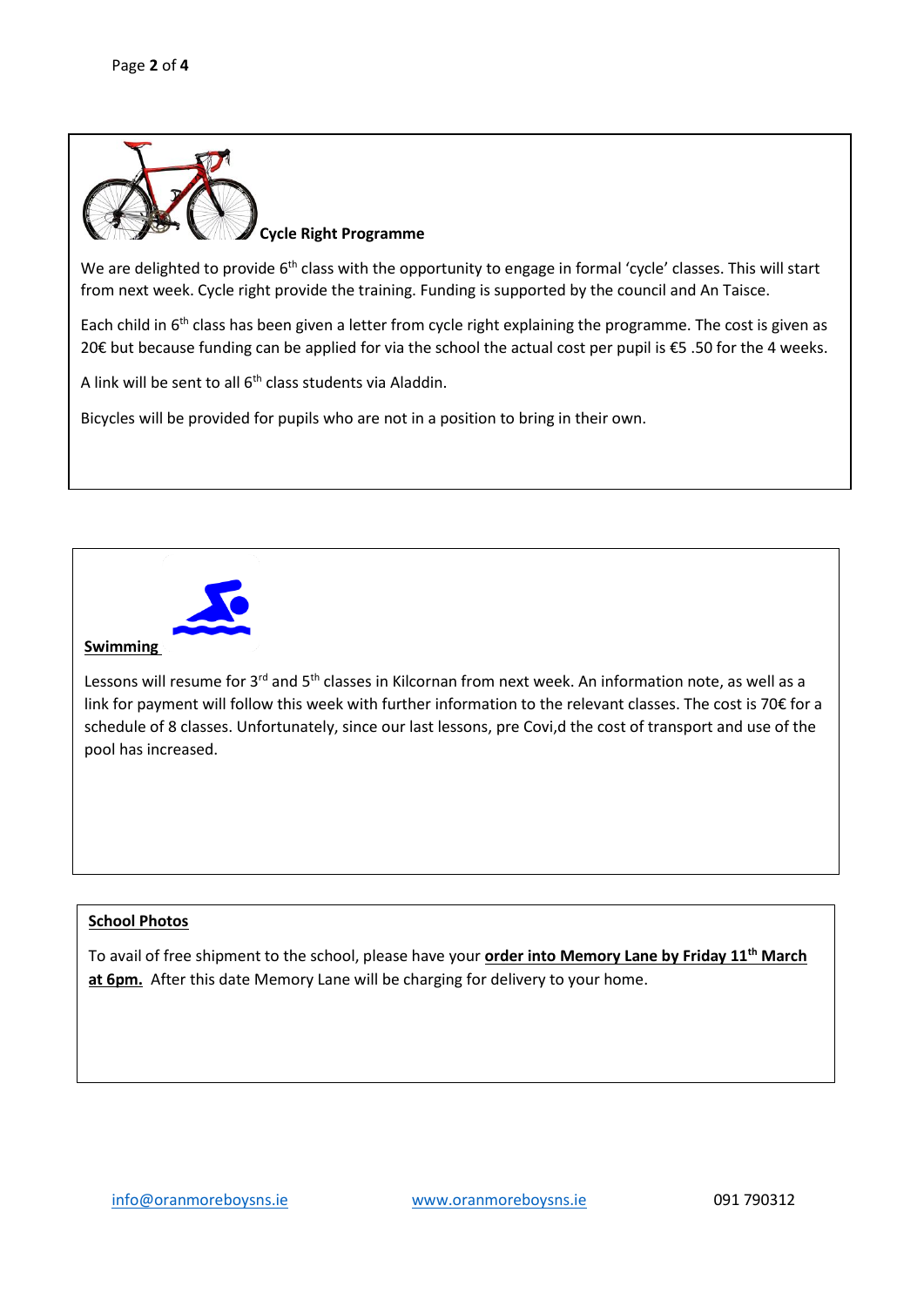

**Cycle Right Programme** 

We are delighted to provide 6<sup>th</sup> class with the opportunity to engage in formal 'cycle' classes. This will start from next week. Cycle right provide the training. Funding is supported by the council and An Taisce.

Each child in 6<sup>th</sup> class has been given a letter from cycle right explaining the programme. The cost is given as 20€ but because funding can be applied for via the school the actual cost per pupil is €5 .50 for the 4 weeks.

A link will be sent to all  $6<sup>th</sup>$  class students via Aladdin.

Bicycles will be provided for pupils who are not in a position to bring in their own.



## **Swimming**

Lessons will resume for 3<sup>rd</sup> and 5<sup>th</sup> classes in Kilcornan from next week. An information note, as well as a link for payment will follow this week with further information to the relevant classes. The cost is 70€ for a schedule of 8 classes. Unfortunately, since our last lessons, pre Covi,d the cost of transport and use of the pool has increased.

## **School Photos**

To avail of free shipment to the school, please have your **order into Memory Lane by Friday 11th March at 6pm.** After this date Memory Lane will be charging for delivery to your home.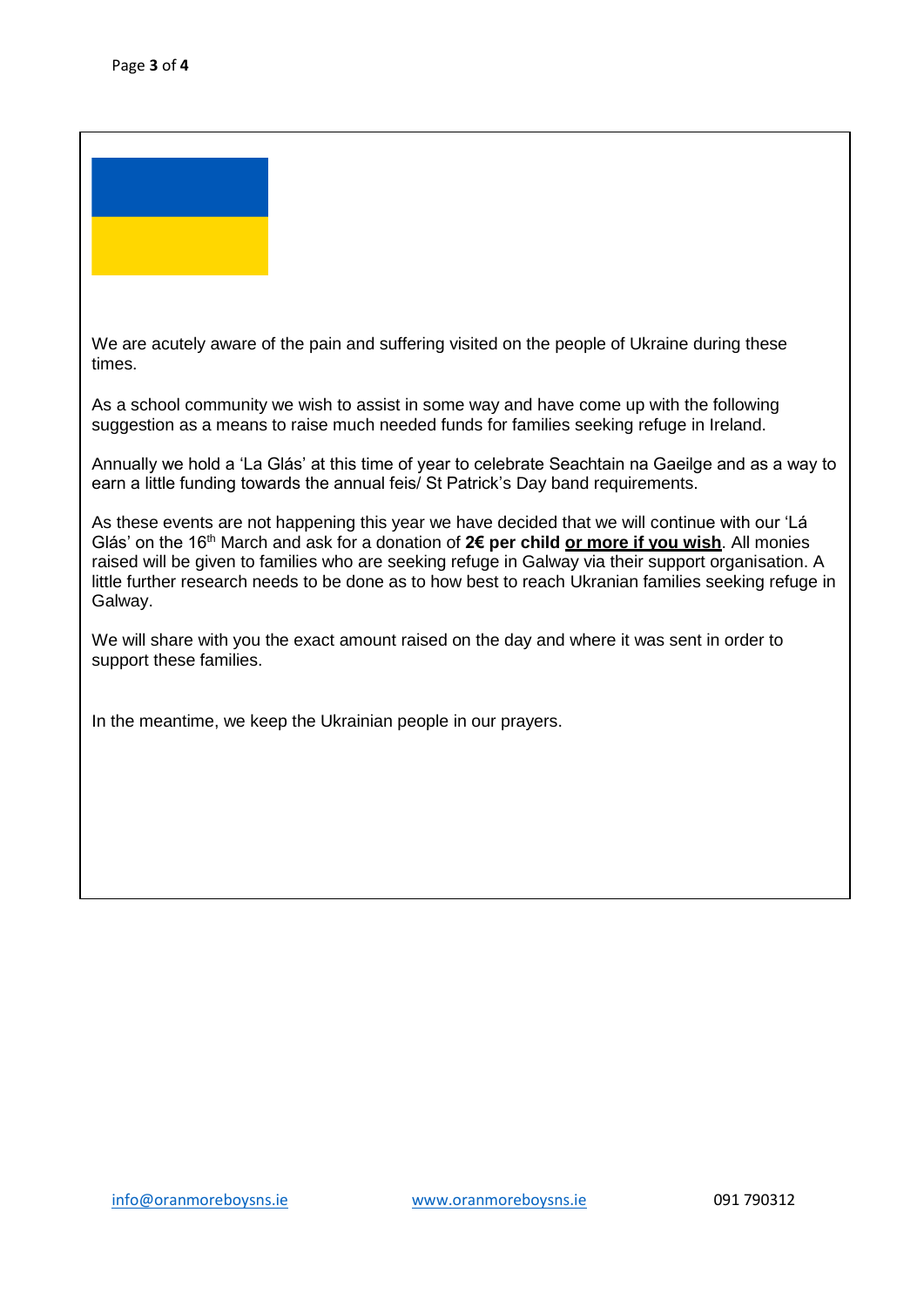

We are acutely aware of the pain and suffering visited on the people of Ukraine during these times.

As a school community we wish to assist in some way and have come up with the following suggestion as a means to raise much needed funds for families seeking refuge in Ireland.

**School Photos**  Annually we hold a 'La Glás' at this time of year to celebrate Seachtain na Gaeilge and as a way to earn a little funding towards the annual feis/ St Patrick's Day band requirements.

To avail of free shipment to the school please return your order to Memory Lane by Friday 11th March.

As these events are not happening this year we have decided that we will continue with our 'Lá Glás' on the 16th March and ask for a donation of **2€ per child or more if you wish**. All monies raised will be given to families who are seeking refuge in Galway via their support organisation. A little further research needs to be done as to how best to reach Ukranian families seeking refuge in Galway.

We will share with you the exact amount raised on the day and where it was sent in order to support these families.

In the meantime, we keep the Ukrainian people in our prayers.